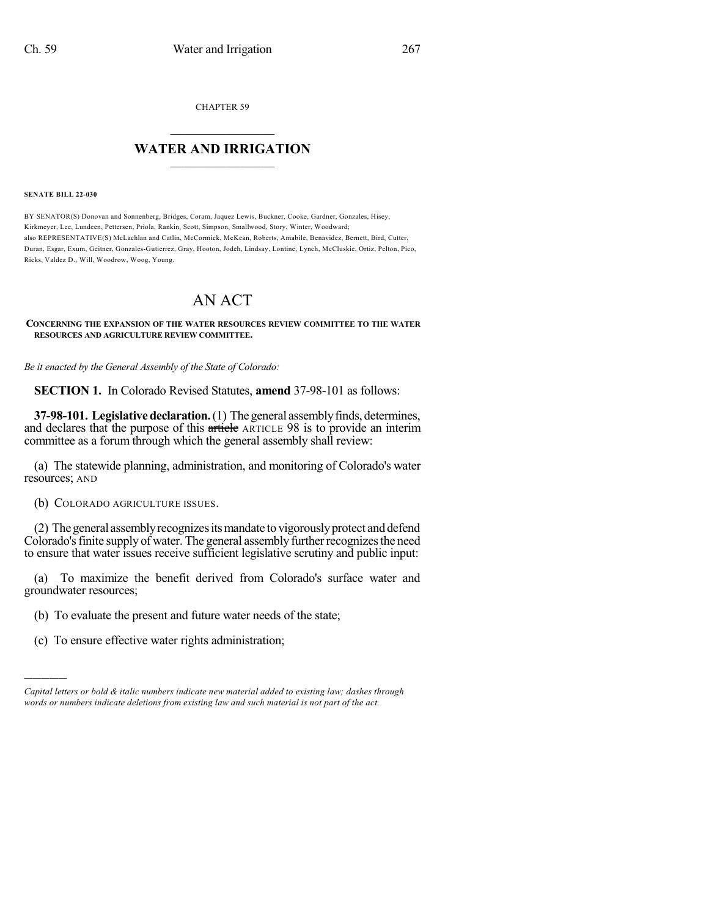CHAPTER 59

## $\mathcal{L}_\text{max}$  . The set of the set of the set of the set of the set of the set of the set of the set of the set of the set of the set of the set of the set of the set of the set of the set of the set of the set of the set **WATER AND IRRIGATION**  $\_$   $\_$

## **SENATE BILL 22-030**

)))))

BY SENATOR(S) Donovan and Sonnenberg, Bridges, Coram, Jaquez Lewis, Buckner, Cooke, Gardner, Gonzales, Hisey, Kirkmeyer, Lee, Lundeen, Pettersen, Priola, Rankin, Scott, Simpson, Smallwood, Story, Winter, Woodward; also REPRESENTATIVE(S) McLachlan and Catlin, McCormick, McKean, Roberts, Amabile, Benavidez, Bernett, Bird, Cutter, Duran, Esgar, Exum, Geitner, Gonzales-Gutierrez, Gray, Hooton, Jodeh, Lindsay, Lontine, Lynch, McCluskie, Ortiz, Pelton, Pico, Ricks, Valdez D., Will, Woodrow, Woog, Young.

## AN ACT

## **CONCERNING THE EXPANSION OF THE WATER RESOURCES REVIEW COMMITTEE TO THE WATER RESOURCES AND AGRICULTURE REVIEW COMMITTEE.**

*Be it enacted by the General Assembly of the State of Colorado:*

**SECTION 1.** In Colorado Revised Statutes, **amend** 37-98-101 as follows:

**37-98-101. Legislativedeclaration.**(1) Thegeneral assemblyfinds, determines, and declares that the purpose of this article ARTICLE 98 is to provide an interim committee as a forum through which the general assembly shall review:

(a) The statewide planning, administration, and monitoring of Colorado's water resources; AND

(b) COLORADO AGRICULTURE ISSUES.

(2) The general assembly recognizes its mandate to vigorously protect and defend Colorado's finite supply of water. The general assembly further recognizes the need to ensure that water issues receive sufficient legislative scrutiny and public input:

(a) To maximize the benefit derived from Colorado's surface water and groundwater resources;

- (b) To evaluate the present and future water needs of the state;
- (c) To ensure effective water rights administration;

*Capital letters or bold & italic numbers indicate new material added to existing law; dashes through words or numbers indicate deletions from existing law and such material is not part of the act.*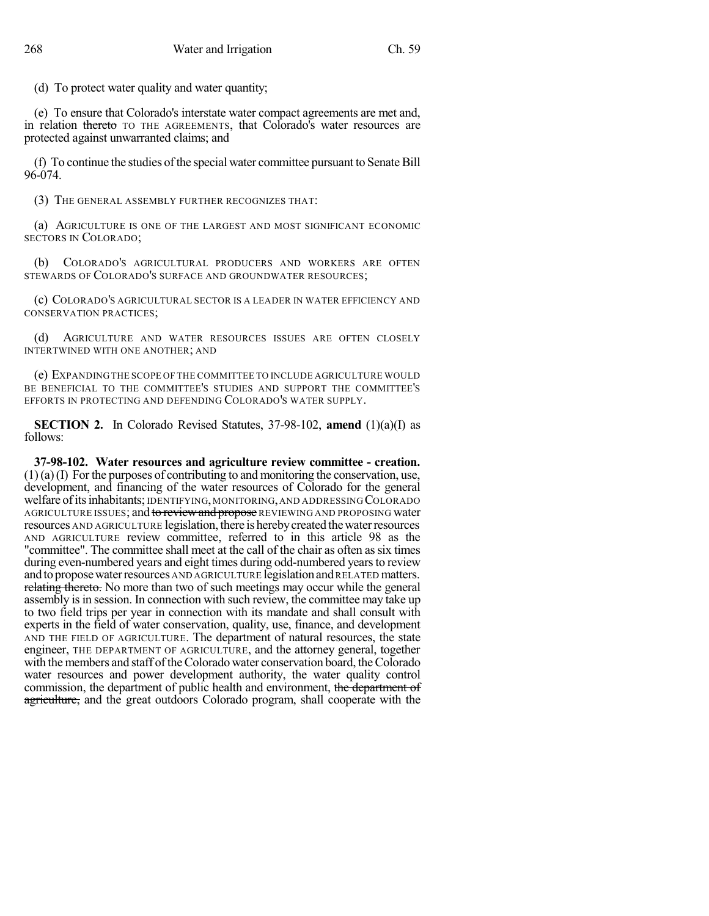(d) To protect water quality and water quantity;

(e) To ensure that Colorado's interstate water compact agreements are met and, in relation thereto TO THE AGREEMENTS, that Colorado's water resources are protected against unwarranted claims; and

(f) To continue the studies ofthe special water committee pursuant to Senate Bill 96-074.

(3) THE GENERAL ASSEMBLY FURTHER RECOGNIZES THAT:

(a) AGRICULTURE IS ONE OF THE LARGEST AND MOST SIGNIFICANT ECONOMIC SECTORS IN COLORADO;

(b) COLORADO'S AGRICULTURAL PRODUCERS AND WORKERS ARE OFTEN STEWARDS OF COLORADO'S SURFACE AND GROUNDWATER RESOURCES;

(c) COLORADO'S AGRICULTURAL SECTOR IS A LEADER IN WATER EFFICIENCY AND CONSERVATION PRACTICES;

(d) AGRICULTURE AND WATER RESOURCES ISSUES ARE OFTEN CLOSELY INTERTWINED WITH ONE ANOTHER; AND

(e) EXPANDINGTHE SCOPE OF THE COMMITTEE TO INCLUDE AGRICULTURE WOULD BE BENEFICIAL TO THE COMMITTEE'S STUDIES AND SUPPORT THE COMMITTEE'S EFFORTS IN PROTECTING AND DEFENDING COLORADO'S WATER SUPPLY.

**SECTION 2.** In Colorado Revised Statutes, 37-98-102, **amend** (1)(a)(I) as follows:

**37-98-102. Water resources and agriculture review committee - creation.**  $(1)(a)(I)$  For the purposes of contributing to and monitoring the conservation, use, development, and financing of the water resources of Colorado for the general welfare ofitsinhabitants; IDENTIFYING, MONITORING,AND ADDRESSING COLORADO AGRICULTURE ISSUES; and to review and propose REVIEWING AND PROPOSING water resources AND AGRICULTURE legislation, there is herebycreated thewaterresources AND AGRICULTURE review committee, referred to in this article 98 as the "committee". The committee shall meet at the call of the chair as often as six times during even-numbered years and eight times during odd-numbered years to review and to propose water resources AND AGRICULTURE legislation and RELATED matters. relating thereto. No more than two of such meetings may occur while the general assembly is in session. In connection with such review, the committee may take up to two field trips per year in connection with its mandate and shall consult with experts in the field of water conservation, quality, use, finance, and development AND THE FIELD OF AGRICULTURE. The department of natural resources, the state engineer, THE DEPARTMENT OF AGRICULTURE, and the attorney general, together with the members and staff of the Colorado water conservation board, the Colorado water resources and power development authority, the water quality control commission, the department of public health and environment, the department of agriculture, and the great outdoors Colorado program, shall cooperate with the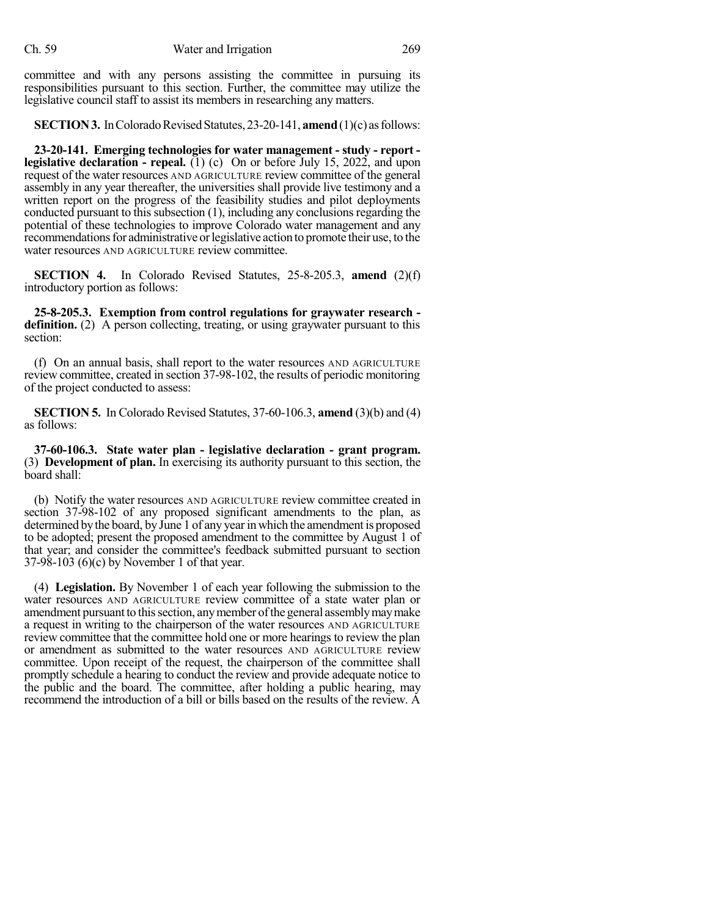committee and with any persons assisting the committee in pursuing its responsibilities pursuant to this section. Further, the committee may utilize the legislative council staff to assist its members in researching any matters.

**SECTION 3.** In Colorado Revised Statutes, 23-20-141, **amend** (1)(c) as follows:

**23-20-141. Emerging technologies for water management - study - report legislative declaration - repeal.** (1) (c) On or before July 15, 2022, and upon request of the water resources AND AGRICULTURE review committee of the general assembly in any year thereafter, the universities shall provide live testimony and a written report on the progress of the feasibility studies and pilot deployments conducted pursuant to this subsection (1), including any conclusionsregarding the potential of these technologies to improve Colorado water management and any recommendations for administrative or legislative action to promote their use, to the water resources AND AGRICULTURE review committee.

**SECTION 4.** In Colorado Revised Statutes, 25-8-205.3, **amend** (2)(f) introductory portion as follows:

**25-8-205.3. Exemption from control regulations for graywater research definition.** (2) A person collecting, treating, or using graywater pursuant to this section:

(f) On an annual basis, shall report to the water resources AND AGRICULTURE review committee, created in section 37-98-102, the results of periodic monitoring of the project conducted to assess:

**SECTION 5.** In Colorado Revised Statutes, 37-60-106.3, **amend** (3)(b) and (4) as follows:

**37-60-106.3. State water plan - legislative declaration - grant program.** (3) **Development of plan.** In exercising its authority pursuant to this section, the board shall:

(b) Notify the water resources AND AGRICULTURE review committee created in section 37-98-102 of any proposed significant amendments to the plan, as determined bythe board, by June 1 of any yearinwhich the amendment is proposed to be adopted; present the proposed amendment to the committee by August 1 of that year; and consider the committee's feedback submitted pursuant to section 37-98-103 (6)(c) by November 1 of that year.

(4) **Legislation.** By November 1 of each year following the submission to the water resources AND AGRICULTURE review committee of a state water plan or amendment pursuant to thissection, anymember ofthe general assemblymaymake a request in writing to the chairperson of the water resources AND AGRICULTURE review committee that the committee hold one or more hearings to review the plan or amendment as submitted to the water resources AND AGRICULTURE review committee. Upon receipt of the request, the chairperson of the committee shall promptly schedule a hearing to conduct the review and provide adequate notice to the public and the board. The committee, after holding a public hearing, may recommend the introduction of a bill or bills based on the results of the review. A